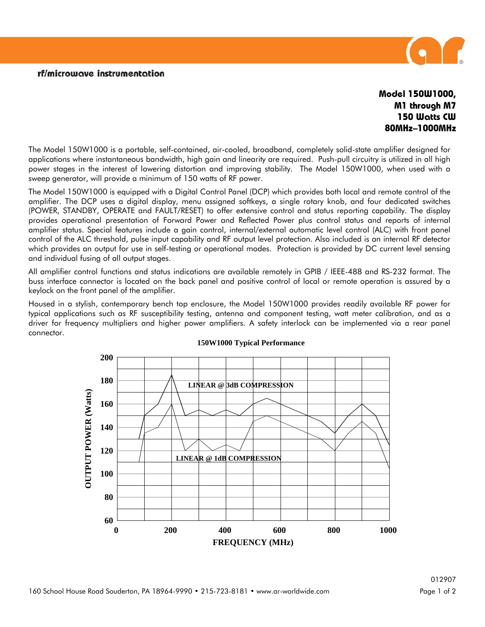## rf/microwave instrumentation



## **Model 150W1000, M1 through M7 150 Watts CW 80MHz–1000MHz**

The Model 150W1000 is a portable, self-contained, air-cooled, broadband, completely solid-state amplifier designed for applications where instantaneous bandwidth, high gain and linearity are required. Push-pull circuitry is utilized in all high power stages in the interest of lowering distortion and improving stability. The Model 150W1000, when used with a sweep generator, will provide a minimum of 150 watts of RF power.

The Model 150W1000 is equipped with a Digital Control Panel (DCP) which provides both local and remote control of the amplifier. The DCP uses a digital display, menu assigned softkeys, a single rotary knob, and four dedicated switches (POWER, STANDBY, OPERATE and FAULT/RESET) to offer extensive control and status reporting capability. The display provides operational presentation of Forward Power and Reflected Power plus control status and reports of internal amplifier status. Special features include a gain control, internal/external automatic level control (ALC) with front panel control of the ALC threshold, pulse input capability and RF output level protection. Also included is an internal RF detector which provides an output for use in self-testing or operational modes. Protection is provided by DC current level sensing and individual fusing of all output stages.

All amplifier control functions and status indications are available remotely in GPIB / IEEE-488 and RS-232 format. The buss interface connector is located on the back panel and positive control of local or remote operation is assured by a keylock on the front panel of the amplifier.

Housed in a stylish, contemporary bench top enclosure, the Model 150W1000 provides readily available RF power for typical applications such as RF susceptibility testing, antenna and component testing, watt meter calibration, and as a driver for frequency multipliers and higher power amplifiers. A safety interlock can be implemented via a rear panel connector.



## **150W1000 Typical Performance**